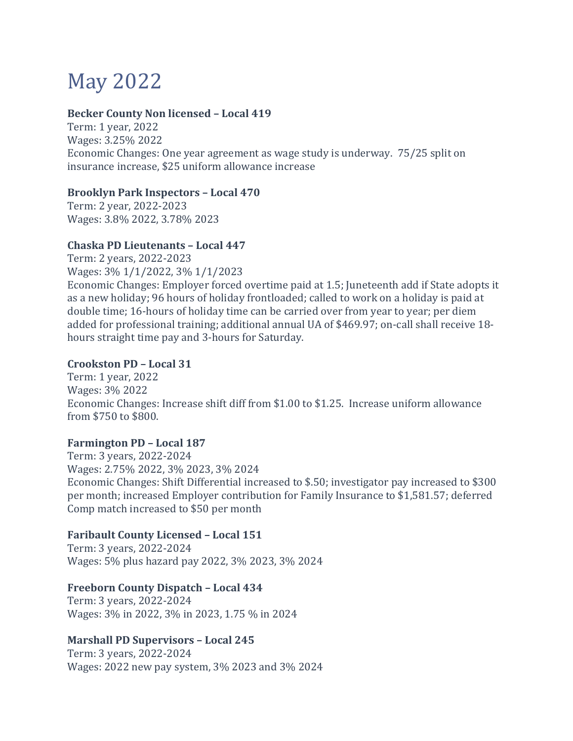# May 2022

## **Becker County Non licensed – Local 419**

Term: 1 year, 2022 Wages: 3.25% 2022 Economic Changes: One year agreement as wage study is underway. 75/25 split on insurance increase, \$25 uniform allowance increase

### **Brooklyn Park Inspectors – Local 470**

Term: 2 year, 2022-2023 Wages: 3.8% 2022, 3.78% 2023

## **Chaska PD Lieutenants – Local 447**

Term: 2 years, 2022-2023

Wages: 3% 1/1/2022, 3% 1/1/2023

Economic Changes: Employer forced overtime paid at 1.5; Juneteenth add if State adopts it as a new holiday; 96 hours of holiday frontloaded; called to work on a holiday is paid at double time; 16-hours of holiday time can be carried over from year to year; per diem added for professional training; additional annual UA of \$469.97; on-call shall receive 18 hours straight time pay and 3-hours for Saturday.

### **Crookston PD – Local 31**

Term: 1 year, 2022 Wages: 3% 2022 Economic Changes: Increase shift diff from \$1.00 to \$1.25. Increase uniform allowance from \$750 to \$800.

## **Farmington PD – Local 187**

Term: 3 years, 2022-2024 Wages: 2.75% 2022, 3% 2023, 3% 2024 Economic Changes: Shift Differential increased to \$.50; investigator pay increased to \$300 per month; increased Employer contribution for Family Insurance to \$1,581.57; deferred Comp match increased to \$50 per month

## **Faribault County Licensed – Local 151**

Term: 3 years, 2022-2024 Wages: 5% plus hazard pay 2022, 3% 2023, 3% 2024

## **Freeborn County Dispatch – Local 434**

Term: 3 years, 2022-2024 Wages: 3% in 2022, 3% in 2023, 1.75 % in 2024

## **Marshall PD Supervisors – Local 245**

Term: 3 years, 2022-2024 Wages: 2022 new pay system, 3% 2023 and 3% 2024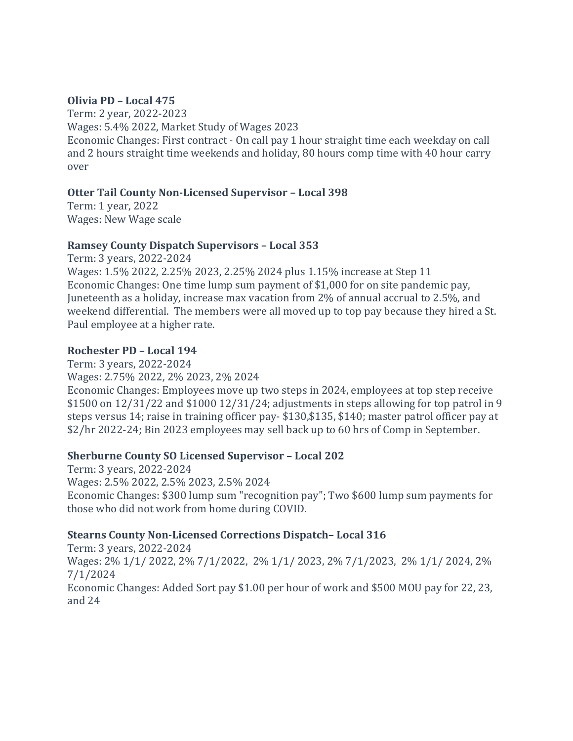### **Olivia PD – Local 475**

Term: 2 year, 2022-2023 Wages: 5.4% 2022, Market Study of Wages 2023 Economic Changes: First contract - On call pay 1 hour straight time each weekday on call and 2 hours straight time weekends and holiday, 80 hours comp time with 40 hour carry over

### **Otter Tail County Non-Licensed Supervisor – Local 398**

Term: 1 year, 2022 Wages: New Wage scale

### **Ramsey County Dispatch Supervisors – Local 353**

Term: 3 years, 2022-2024 Wages: 1.5% 2022, 2.25% 2023, 2.25% 2024 plus 1.15% increase at Step 11 Economic Changes: One time lump sum payment of \$1,000 for on site pandemic pay, Juneteenth as a holiday, increase max vacation from 2% of annual accrual to 2.5%, and weekend differential. The members were all moved up to top pay because they hired a St. Paul employee at a higher rate.

## **Rochester PD – Local 194**

Term: 3 years, 2022-2024 Wages: 2.75% 2022, 2% 2023, 2% 2024 Economic Changes: Employees move up two steps in 2024, employees at top step receive \$1500 on 12/31/22 and \$1000 12/31/24; adjustments in steps allowing for top patrol in 9 steps versus 14; raise in training officer pay- \$130,\$135, \$140; master patrol officer pay at \$2/hr 2022-24; Bin 2023 employees may sell back up to 60 hrs of Comp in September.

## **Sherburne County SO Licensed Supervisor – Local 202**

Term: 3 years, 2022-2024 Wages: 2.5% 2022, 2.5% 2023, 2.5% 2024 Economic Changes: \$300 lump sum "recognition pay"; Two \$600 lump sum payments for those who did not work from home during COVID.

## **Stearns County Non-Licensed Corrections Dispatch– Local 316**

Term: 3 years, 2022-2024 Wages: 2% 1/1/ 2022, 2% 7/1/2022, 2% 1/1/ 2023, 2% 7/1/2023, 2% 1/1/ 2024, 2% 7/1/2024 Economic Changes: Added Sort pay \$1.00 per hour of work and \$500 MOU pay for 22, 23, and 24